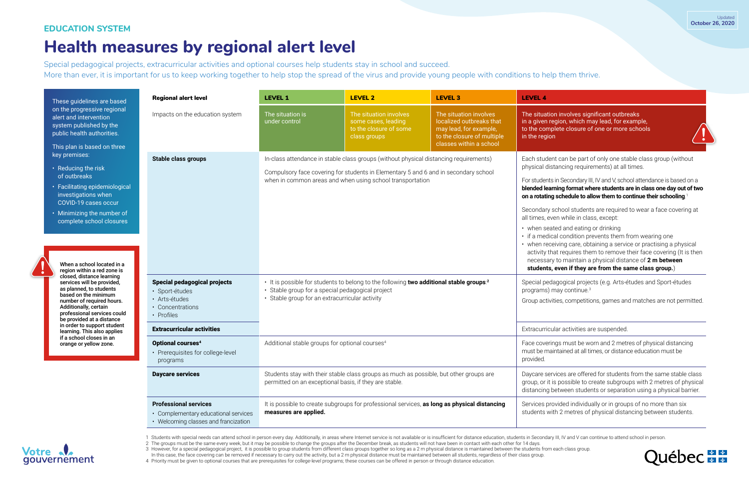### **EDUCATION SYSTEM**

Special pedagogical projects, extracurricular activities and optional courses help students stay in school and succeed. More than ever, it is important for us to keep working together to help stop the spread of the virus and provide young people with conditions to help them thrive.

# **Health measures by regional alert level**

in Secondary III, IV and V, school attendance is based on a **blended learning format where students are in class one day out of two on a rotating schedule to allow them to continue their schooling**. 1

> school students are required to wear a face covering at en while in class, except:

- ted and eating or drinking
- al condition prevents them from wearing one
- eiving care, obtaining a service or practising a physical at requires them to remove their face covering (It is then
- to maintain a physical distance of 2 m between

#### even if they are from the same class group.)

agogical projects (e.g. Arts-études and Sport-études nay continue. $^3$ 

ties, competitions, games and matches are not permitted.

lar activities are suspended.

Ags must be worn and 2 metres of physical distancing intained at all times, or distance education must be

vices are offered for students from the same stable class s possible to create subgroups with 2 metres of physical etween students or separation using a physical barrier.

wided individually or in groups of no more than six th 2 metres of physical distancing between students.



1 Students with special needs can attend school in person every day. Additionally, in areas where Internet service is not available or is insufficient for distance education, students in Secondary III, IV and V can continu 2 The groups must be the same every week, but it may be possible to change the groups after the December break, as students will not have been in contact with each other for 14 days. 3 However, for a special pedagogical project, it is possible to group students from different class groups together so long as a 2 m physical distance is maintained between the students from each class group.

In this case, the face covering can be removed if necessary to carry out the activity, but a 2 m physical distance must be maintained between all students, regardless of their class group.

| These guidelines are based<br>on the progressive regional<br>alert and intervention<br>system published by the<br>public health authorities.<br>This plan is based on three<br>key premises:<br>• Reducing the risk                                                                                                                                                                                           | <b>Regional alert level</b>                                                                                  | <b>LEVEL 1</b>                                                                                                                                                                                                                            | <b>LEVEL 2</b>                                                                          | <b>LEVEL 3</b>                                                                                             | <b>LEVEL 4</b>                                                                        |
|---------------------------------------------------------------------------------------------------------------------------------------------------------------------------------------------------------------------------------------------------------------------------------------------------------------------------------------------------------------------------------------------------------------|--------------------------------------------------------------------------------------------------------------|-------------------------------------------------------------------------------------------------------------------------------------------------------------------------------------------------------------------------------------------|-----------------------------------------------------------------------------------------|------------------------------------------------------------------------------------------------------------|---------------------------------------------------------------------------------------|
|                                                                                                                                                                                                                                                                                                                                                                                                               | Impacts on the education system                                                                              | The situation is<br>under control                                                                                                                                                                                                         | The situation involves<br>some cases, leading<br>to the closure of some<br>class groups | The situation involves<br>localized outbreaks that<br>may lead, for example,<br>to the closure of multiple | The situation<br>in a given reg<br>to the compl<br>in the region                      |
|                                                                                                                                                                                                                                                                                                                                                                                                               |                                                                                                              |                                                                                                                                                                                                                                           |                                                                                         | classes within a school                                                                                    |                                                                                       |
|                                                                                                                                                                                                                                                                                                                                                                                                               | <b>Stable class groups</b>                                                                                   | In-class attendance in stable class groups (without physical distancing requirements)<br>Compulsory face covering for students in Elementary 5 and 6 and in secondary school<br>when in common areas and when using school transportation |                                                                                         |                                                                                                            | Each studen<br>physical dist                                                          |
| of outbreaks<br>• Facilitating epidemiological<br>investigations when<br>COVID-19 cases occur                                                                                                                                                                                                                                                                                                                 |                                                                                                              |                                                                                                                                                                                                                                           |                                                                                         |                                                                                                            | For students<br>blended learn<br>on a rotating                                        |
| • Minimizing the number of<br>complete school closures                                                                                                                                                                                                                                                                                                                                                        |                                                                                                              |                                                                                                                                                                                                                                           |                                                                                         |                                                                                                            | Secondary s<br>all times, eve                                                         |
| When a school located in a<br>region within a red zone is<br>closed, distance learning<br>services will be provided,<br>as planned, to students<br>based on the minimum<br>number of required hours.<br>Additionally, certain<br>professional services could<br>be provided at a distance<br>in order to support student<br>learning. This also applies<br>if a school closes in an<br>orange or yellow zone. |                                                                                                              |                                                                                                                                                                                                                                           |                                                                                         |                                                                                                            | • when seat<br>· if a medica<br>• when rece<br>activity tha<br>necessary<br>students, |
|                                                                                                                                                                                                                                                                                                                                                                                                               | <b>Special pedagogical projects</b><br>· Sport-études<br>· Arts-études<br>• Concentrations<br>• Profiles     | • It is possible for students to belong to the following two additional stable groups. <sup>2</sup><br>• Stable group for a special pedagogical project<br>• Stable group for an extracurricular activity                                 |                                                                                         |                                                                                                            | Special peda<br>programs) m<br>Group activit                                          |
|                                                                                                                                                                                                                                                                                                                                                                                                               | <b>Extracurricular activities</b>                                                                            |                                                                                                                                                                                                                                           |                                                                                         |                                                                                                            | Extracurricul                                                                         |
|                                                                                                                                                                                                                                                                                                                                                                                                               | Optional courses <sup>4</sup><br>• Prerequisites for college-level<br>programs                               | Additional stable groups for optional courses <sup>4</sup>                                                                                                                                                                                |                                                                                         |                                                                                                            | Face coverin<br>must be mair<br>provided.                                             |
|                                                                                                                                                                                                                                                                                                                                                                                                               | <b>Daycare services</b>                                                                                      | Students stay with their stable class groups as much as possible, but other groups are<br>permitted on an exceptional basis, if they are stable.                                                                                          |                                                                                         |                                                                                                            | Daycare serv<br>group, or it is<br>distancing b                                       |
|                                                                                                                                                                                                                                                                                                                                                                                                               | <b>Professional services</b><br>• Complementary educational services<br>• Welcoming classes and francization | It is possible to create subgroups for professional services, as long as physical distancing<br>measures are applied.                                                                                                                     |                                                                                         | Services pro<br>students wit                                                                               |                                                                                       |

4 Priority must be given to optional courses that are prerequisites for college-level programs; these courses can be offered in person or through distance education.





n involves significant outbreaks gion, which may lead, for example, lete closure of one or more schools

at can be part of only one stable class group (without tancing requirements) at all times.